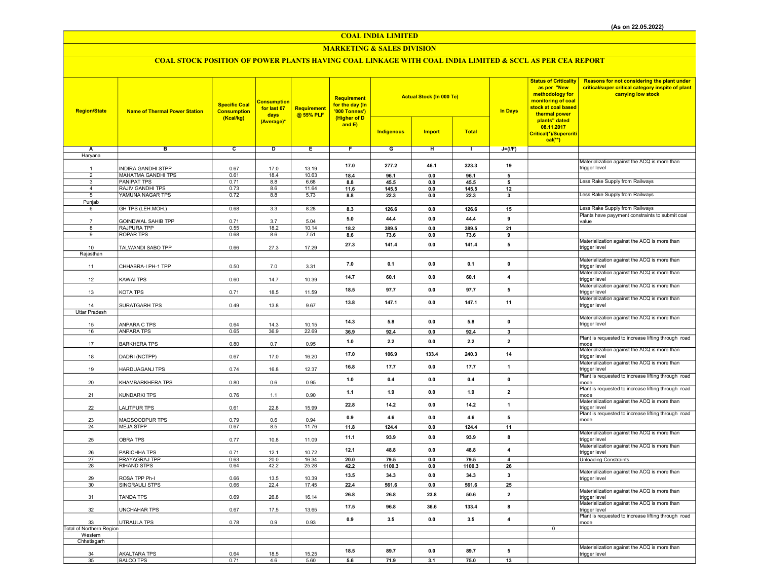## COAL INDIA LIMITED

## MARKETING & SALES DIVISION

# COAL STOCK POSITION OF POWER PLANTS HAVING COAL LINKAGE WITH COAL INDIA LIMITED & SCCL AS PER CEA REPORT

| <b>Region/State</b>      | <b>Name of Thermal Power Station</b> | <b>Specific Coal</b><br><b>Consumption</b><br>(Kcal/kg) | <b>Consumption</b><br>for last 07<br>days<br>(Average)* | <b>Requirement</b><br>@ 55% PLF | Requirement<br>for the day (In<br>'000 Tonnes')<br>(Higher of D<br>and $E$ ) | <b>Actual Stock (In 000 Te)</b><br><b>Total</b><br><b>Indigenous</b><br><b>Import</b> |         |        | <b>In Days</b>          | <b>Status of Criticality</b><br>as per "New<br>methodology for<br>monitoring of coal<br>stock at coal based<br>thermal power<br>plants" dated<br>08.11.2017<br>Critical(*)/Supercriti<br>$cal$ <sup>**</sup> ) | Reasons for not considering the plant under<br>critical/super critical category inspite of plant<br>carrying low stock |
|--------------------------|--------------------------------------|---------------------------------------------------------|---------------------------------------------------------|---------------------------------|------------------------------------------------------------------------------|---------------------------------------------------------------------------------------|---------|--------|-------------------------|----------------------------------------------------------------------------------------------------------------------------------------------------------------------------------------------------------------|------------------------------------------------------------------------------------------------------------------------|
| A                        | в                                    | $\overline{c}$                                          | Þ                                                       | Ε                               | F                                                                            | G                                                                                     | Έ       | Τ      |                         |                                                                                                                                                                                                                |                                                                                                                        |
| Haryana                  |                                      |                                                         |                                                         |                                 |                                                                              |                                                                                       |         |        | $J=(VF)$                |                                                                                                                                                                                                                |                                                                                                                        |
|                          |                                      |                                                         |                                                         |                                 |                                                                              |                                                                                       |         |        |                         |                                                                                                                                                                                                                | Materialization against the ACQ is more than                                                                           |
| $\overline{1}$           | <b>INDIRA GANDHI STPP</b>            | 0.67                                                    | 17.0                                                    | 13.19                           | 17.0                                                                         | 277.2                                                                                 | 46.1    | 323.3  | 19                      |                                                                                                                                                                                                                | trigger level                                                                                                          |
| $\overline{2}$           | <b>MAHATMA GANDHI TPS</b>            | 0.61                                                    | 18.4                                                    | 10.63                           | 18.4                                                                         | 96.1                                                                                  | $0.0\,$ | 96.1   | 5                       |                                                                                                                                                                                                                |                                                                                                                        |
| $\overline{3}$           | <b>PANIPAT TPS</b>                   | 0.71                                                    | 8.8                                                     | 6.68                            | 8.8                                                                          | 45.5                                                                                  | 0.0     | 45.5   | 5                       |                                                                                                                                                                                                                | Less Rake Supply from Railways                                                                                         |
| $\overline{a}$           | RAJIV GANDHI TPS<br>YAMUNA NAGAR TPS | 0.73                                                    | 8.6                                                     | 11.64                           | 11.6                                                                         | 145.5                                                                                 | 0.0     | 145.5  | 12                      |                                                                                                                                                                                                                | Less Rake Supply from Railways                                                                                         |
| 5<br>Punjab              |                                      | 0.72                                                    | 8.8                                                     | 5.73                            | 8.8                                                                          | 22.3                                                                                  | 0.0     | 22.3   | 3                       |                                                                                                                                                                                                                |                                                                                                                        |
| 6                        | GH TPS (LEH.MOH.)                    | 0.68                                                    | 3.3                                                     | 8.28                            | 8.3                                                                          | 126.6                                                                                 | 0.0     | 126.6  | 15                      |                                                                                                                                                                                                                | Less Rake Supply from Railways                                                                                         |
|                          |                                      |                                                         |                                                         |                                 |                                                                              |                                                                                       |         |        |                         |                                                                                                                                                                                                                | Plants have payyment constraints to submit coal                                                                        |
| $\overline{7}$           | GOINDWAL SAHIB TPP                   | 0.71                                                    | 3.7                                                     | 5.04                            | 5.0                                                                          | 44.4                                                                                  | 0.0     | 44.4   | 9                       |                                                                                                                                                                                                                | value                                                                                                                  |
| 8                        | RAJPURA TPP                          | 0.55                                                    | 18.2                                                    | 10.14                           | 18.2                                                                         | 389.5                                                                                 | 0.0     | 389.5  | 21                      |                                                                                                                                                                                                                |                                                                                                                        |
| 9                        | <b>ROPAR TPS</b>                     | 0.68                                                    | 8.6                                                     | 7.51                            | 8.6                                                                          | 73.6                                                                                  | 0.0     | 73.6   | 9                       |                                                                                                                                                                                                                |                                                                                                                        |
| 10                       | TALWANDI SABO TPP                    | 0.66                                                    | 27.3                                                    | 17.29                           | 27.3                                                                         | 141.4                                                                                 | 0.0     | 141.4  | 5                       |                                                                                                                                                                                                                | Materialization against the ACQ is more than<br>trigger level                                                          |
| Rajasthan                |                                      |                                                         |                                                         |                                 |                                                                              |                                                                                       |         |        |                         |                                                                                                                                                                                                                |                                                                                                                        |
| 11                       | CHHABRA-I PH-1 TPP                   | 0.50                                                    | 7.0                                                     | 3.31                            | 7.0                                                                          | 0.1                                                                                   | 0.0     | 0.1    | $\mathbf 0$             |                                                                                                                                                                                                                | Materialization against the ACQ is more than<br>trigger level                                                          |
| 12                       | <b>KAWAI TPS</b>                     | 0.60                                                    | 14.7                                                    | 10.39                           | 14.7                                                                         | 60.1                                                                                  | $0.0\,$ | 60.1   | $\overline{\mathbf{4}}$ |                                                                                                                                                                                                                | Materialization against the ACQ is more than<br>trigger level                                                          |
| 13                       | KOTA TPS                             | 0.71                                                    | 18.5                                                    | 11.59                           | 18.5                                                                         | 97.7                                                                                  | 0.0     | 97.7   | $\sqrt{5}$              |                                                                                                                                                                                                                | Materialization against the ACQ is more than<br>trigger level                                                          |
| 14                       | SURATGARH TPS                        | 0.49                                                    | 13.8                                                    | 9.67                            | 13.8                                                                         | 147.1                                                                                 | $0.0\,$ | 147.1  | 11                      |                                                                                                                                                                                                                | Materialization against the ACQ is more than<br>trigger level                                                          |
| <b>Uttar Pradesh</b>     |                                      |                                                         |                                                         |                                 |                                                                              |                                                                                       |         |        |                         |                                                                                                                                                                                                                |                                                                                                                        |
|                          |                                      |                                                         |                                                         |                                 |                                                                              |                                                                                       |         |        |                         |                                                                                                                                                                                                                | Materialization against the ACQ is more than                                                                           |
| 15                       | ANPARA C TPS                         | 0.64                                                    | 14.3                                                    | 10.15                           | 14.3                                                                         | 5.8                                                                                   | 0.0     | 5.8    | $\pmb{0}$               |                                                                                                                                                                                                                | trigger level                                                                                                          |
| 16                       | <b>ANPARA TPS</b>                    | 0.65                                                    | 36.9                                                    | 22.69                           | 36.9                                                                         | 92.4                                                                                  | 0.0     | 92.4   | $\overline{\mathbf{3}}$ |                                                                                                                                                                                                                |                                                                                                                        |
| 17                       | <b>BARKHERA TPS</b>                  | 0.80                                                    | 0.7                                                     | 0.95                            | 1.0                                                                          | 2.2                                                                                   | 0.0     | 2.2    | $\overline{2}$          |                                                                                                                                                                                                                | Plant is requested to increase lifting through road<br>mode                                                            |
| 18                       | DADRI (NCTPP)                        | 0.67                                                    | 17.0                                                    | 16.20                           | 17.0                                                                         | 106.9                                                                                 | 133.4   | 240.3  | 14                      |                                                                                                                                                                                                                | Materialization against the ACQ is more than<br>trigger level<br>Materialization against the ACQ is more than          |
| 19                       | HARDUAGANJ TPS                       | 0.74                                                    | 16.8                                                    | 12.37                           | 16.8                                                                         | 17.7                                                                                  | 0.0     | 17.7   | $\mathbf{1}$            |                                                                                                                                                                                                                | trigger level<br>Plant is requested to increase lifting through road                                                   |
| 20                       | KHAMBARKHERA TPS                     | 0.80                                                    | 0.6                                                     | 0.95                            | 1.0                                                                          | 0.4                                                                                   | 0.0     | 0.4    | $\mathbf 0$             |                                                                                                                                                                                                                | mode<br>Plant is requested to increase lifting through road                                                            |
| 21                       | <b>KUNDARKI TPS</b>                  | 0.76                                                    | 1.1                                                     | 0.90                            | 1.1                                                                          | 1.9                                                                                   | 0.0     | 1.9    | $\overline{\mathbf{2}}$ |                                                                                                                                                                                                                | mode                                                                                                                   |
| 22                       | <b>LALITPUR TPS</b>                  | 0.61                                                    | 22.8                                                    | 15.99                           | 22.8                                                                         | 14.2                                                                                  | 0.0     | 14.2   | $\mathbf{1}$            |                                                                                                                                                                                                                | Materialization against the ACQ is more than<br>trigger level                                                          |
| 23                       | MAQSOODPUR TPS                       | 0.79                                                    | 0.6                                                     | 0.94                            | 0.9                                                                          | 4.6                                                                                   | 0.0     | 4.6    | 5                       |                                                                                                                                                                                                                | Plant is requested to increase lifting through road<br>mode                                                            |
| 24                       | <b>MEJA STPP</b>                     | 0.67                                                    | 8.5                                                     | 11.76                           | 11.8                                                                         | 124.4                                                                                 | 0.0     | 124.4  | 11                      |                                                                                                                                                                                                                |                                                                                                                        |
| 25                       | OBRA TPS                             | 0.77                                                    | 10.8                                                    | 11.09                           | 11.1                                                                         | 93.9                                                                                  | 0.0     | 93.9   | 8                       |                                                                                                                                                                                                                | Materialization against the ACQ is more than<br>trigger level                                                          |
| 26                       | PARICHHA TPS                         | 0.71                                                    | 12.1                                                    | 10.72                           | 12.1                                                                         | 48.8                                                                                  | 0.0     | 48.8   | $\overline{4}$          |                                                                                                                                                                                                                | Materialization against the ACQ is more than<br>trigger level                                                          |
| 27                       | PRAYAGRAJ TPP                        | 0.63                                                    | 20.0                                                    | 16.34                           | 20.0                                                                         | 79.5                                                                                  | 0.0     | 79.5   | $\overline{4}$          |                                                                                                                                                                                                                | <b>Unloading Constraints</b>                                                                                           |
| 28                       | <b>RIHAND STPS</b>                   | 0.64                                                    | 42.2                                                    | 25.28                           | 42.2                                                                         | 1100.3                                                                                | 0.0     | 1100.3 | 26                      |                                                                                                                                                                                                                | Materialization against the ACQ is more than                                                                           |
| 29                       | ROSA TPP Ph-I                        | 0.66                                                    | 13.5                                                    | 10.39                           | 13.5                                                                         | 34.3                                                                                  | 0.0     | 34.3   | 3                       |                                                                                                                                                                                                                | trigger level                                                                                                          |
| 30                       | SINGRAULI STPS                       | 0.66                                                    | 22.4                                                    | 17.45                           | 22.4                                                                         | 561.6                                                                                 | 0.0     | 561.6  | 25                      |                                                                                                                                                                                                                |                                                                                                                        |
| 31                       | <b>TANDA TPS</b>                     | 0.69                                                    | 26.8                                                    | 16.14                           | 26.8                                                                         | 26.8                                                                                  | 23.8    | 50.6   | $\overline{2}$          |                                                                                                                                                                                                                | Materialization against the ACQ is more than<br>trigger level                                                          |
| 32                       | <b>UNCHAHAR TPS</b>                  | 0.67                                                    | 17.5                                                    | 13.65                           | 17.5                                                                         | 96.8                                                                                  | 36.6    | 133.4  | 8                       |                                                                                                                                                                                                                | Materialization against the ACQ is more than<br>trigger level                                                          |
| 33                       | UTRAULA TPS                          | 0.78                                                    | 0.9                                                     | 0.93                            | 0.9                                                                          | 3.5                                                                                   | 0.0     | 3.5    | $\overline{\mathbf{4}}$ |                                                                                                                                                                                                                | Plant is requested to increase lifting through road<br>mode                                                            |
| Total of Northern Region |                                      |                                                         |                                                         |                                 |                                                                              |                                                                                       |         |        |                         | $\mathbf 0$                                                                                                                                                                                                    |                                                                                                                        |
| Western<br>Chhatisgarh   |                                      |                                                         |                                                         |                                 |                                                                              |                                                                                       |         |        |                         |                                                                                                                                                                                                                |                                                                                                                        |
|                          |                                      |                                                         |                                                         |                                 |                                                                              |                                                                                       |         |        |                         |                                                                                                                                                                                                                | Materialization against the ACQ is more than                                                                           |
| 34                       | <b>AKALTARA TPS</b>                  | 0.64                                                    | 18.5                                                    | 15.25                           | 18.5                                                                         | 89.7                                                                                  | 0.0     | 89.7   | 5                       |                                                                                                                                                                                                                | trigger level                                                                                                          |
| 35                       | <b>BALCO TPS</b>                     | 0.71                                                    | 4.6                                                     | 5.60                            | 5.6                                                                          | 71.9                                                                                  | 3.1     | 75.0   | 13                      |                                                                                                                                                                                                                |                                                                                                                        |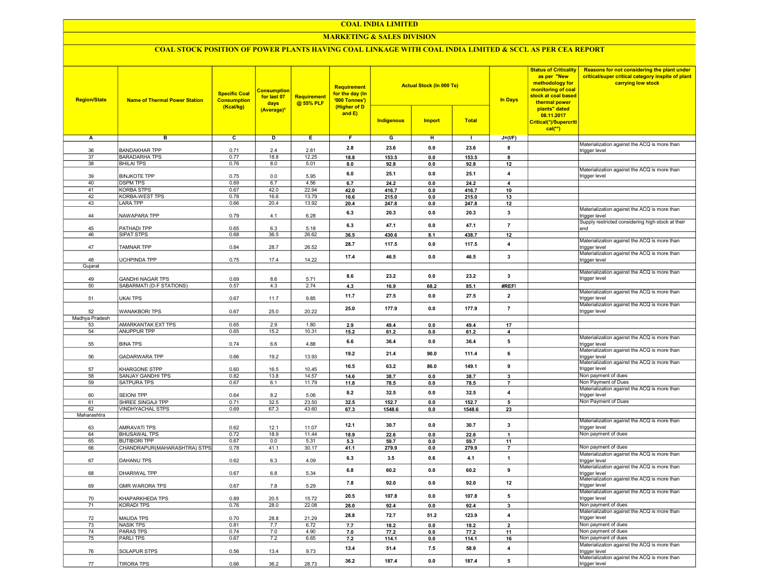#### COAL INDIA LIMITED

## MARKETING & SALES DIVISION

## COAL STOCK POSITION OF POWER PLANTS HAVING COAL LINKAGE WITH COAL INDIA LIMITED & SCCL AS PER CEA REPORT

| <b>Region/State</b> | <b>Name of Thermal Power Station</b>            | <b>Specific Coal</b><br><b>Consumption</b><br>(Kcal/kg) | <b>Consumption</b><br>for last 07<br>days<br>(Average)* | <b>Requirement</b><br>@ 55% PLF | <b>Requirement</b><br>for the day (In<br>'000 Tonnes')<br>(Higher of D<br>and E) | <b>Indigenous</b> | <b>Actual Stock (In 000 Te)</b><br><b>Import</b> | <b>Total</b> | <b>In Days</b>          | <b>Status of Criticality</b><br>as per "New<br>methodology for<br>monitoring of coal<br>stock at coal based<br>thermal power<br>plants" dated<br>08.11.2017<br>Critical(*)/Supercriti<br>$cal$ <sup>**</sup> ) | Reasons for not considering the plant under<br>critical/super critical category inspite of plant<br>carrying low stock |
|---------------------|-------------------------------------------------|---------------------------------------------------------|---------------------------------------------------------|---------------------------------|----------------------------------------------------------------------------------|-------------------|--------------------------------------------------|--------------|-------------------------|----------------------------------------------------------------------------------------------------------------------------------------------------------------------------------------------------------------|------------------------------------------------------------------------------------------------------------------------|
| Α                   | в                                               | $\overline{c}$                                          | D                                                       | Е.                              | F.                                                                               | G                 | н                                                | л.           | $J=(I/F)$               |                                                                                                                                                                                                                |                                                                                                                        |
|                     |                                                 |                                                         |                                                         |                                 |                                                                                  |                   |                                                  |              |                         |                                                                                                                                                                                                                | Materialization against the ACQ is more than                                                                           |
| 36                  | <b>BANDAKHAR TPP</b>                            | 0.71                                                    | 2.4                                                     | 2.81                            | 2.8                                                                              | 23.6              | 0.0                                              | 23.6         | 8                       |                                                                                                                                                                                                                | trigger level                                                                                                          |
| 37                  | <b>BARADARHA TPS</b>                            | 0.77                                                    | 18.8                                                    | 12.25                           | 18.8                                                                             | 153.5             | 0.0                                              | 153.5        | 8                       |                                                                                                                                                                                                                |                                                                                                                        |
| 38                  | <b>BHILAI TPS</b>                               | 0.76                                                    | 8.0                                                     | 5.01                            | 8.0                                                                              | 92.8              | 0.0                                              | 92.8         | 12                      |                                                                                                                                                                                                                | Materialization against the ACQ is more than                                                                           |
| 39                  | <b>BINJKOTE TPP</b>                             | 0.75                                                    | 0.0                                                     | 5.95                            | 6.0                                                                              | 25.1              | 0.0                                              | 25.1         | $\overline{4}$          |                                                                                                                                                                                                                | trigger level                                                                                                          |
| 40                  | <b>DSPM TPS</b>                                 | 0.69                                                    | 6.7                                                     | 4.56                            | 6.7                                                                              | 24.2              | 0.0                                              | 24.2         | 4                       |                                                                                                                                                                                                                |                                                                                                                        |
| 41                  | <b>KORBA STPS</b>                               | 0.67                                                    | 42.0                                                    | 22.94                           | 42.0                                                                             | 416.7             | 0.0                                              | 416.7        | 10                      |                                                                                                                                                                                                                |                                                                                                                        |
| 42                  | KORBA-WEST TPS                                  | 0.78                                                    | 16.6                                                    | 13.79                           | 16.6                                                                             | 215.0             | 0.0                                              | 215.0        | 13                      |                                                                                                                                                                                                                |                                                                                                                        |
| 43                  | <b>LARA TPP</b>                                 | 0.66                                                    | 20.4                                                    | 13.92                           | 20.4                                                                             | 247.8             | 0.0                                              | 247.8        | 12                      |                                                                                                                                                                                                                |                                                                                                                        |
| 44                  | NAWAPARA TPP                                    | 0.79                                                    | 4.1                                                     | 6.28                            | 6.3                                                                              | 20.3              | 0.0                                              | 20.3         | 3                       |                                                                                                                                                                                                                | Materialization against the ACQ is more than<br>trigger level                                                          |
| 45                  | PATHADI TPP                                     | 0.65                                                    | 6.3                                                     | 5.18                            | 6.3                                                                              | 47.1              | 0.0                                              | 47.1         | $\overline{7}$          |                                                                                                                                                                                                                | Supply restricted considering high stock at their<br>end                                                               |
| 46                  | SIPAT STPS                                      | 0.68                                                    | 36.5                                                    | 26.62                           | 36.5                                                                             | 430.6             | 8.1                                              | 438.7        | 12                      |                                                                                                                                                                                                                |                                                                                                                        |
|                     |                                                 |                                                         |                                                         |                                 |                                                                                  |                   |                                                  |              |                         |                                                                                                                                                                                                                | Materialization against the ACQ is more than                                                                           |
| 47                  | TAMNAR TPP                                      | 0.84                                                    | 28.7                                                    | 26.52                           | 28.7                                                                             | 117.5             | 0.0                                              | 117.5        | 4                       |                                                                                                                                                                                                                | trigger level                                                                                                          |
|                     |                                                 |                                                         |                                                         |                                 | 17.4                                                                             | 46.5              | 0.0                                              | 46.5         | $\mathbf{3}$            |                                                                                                                                                                                                                | Materialization against the ACQ is more than                                                                           |
| 48<br>Gujarat       | UCHPINDA TPP                                    | 0.75                                                    | 17.4                                                    | 14.22                           |                                                                                  |                   |                                                  |              |                         |                                                                                                                                                                                                                | trigger level                                                                                                          |
|                     |                                                 |                                                         |                                                         |                                 |                                                                                  |                   |                                                  |              |                         |                                                                                                                                                                                                                | Materialization against the ACQ is more than                                                                           |
| 49                  | <b>GANDHI NAGAR TPS</b>                         | 0.69                                                    | 8.6                                                     | 5.71                            | 8.6                                                                              | 23.2              | 0.0                                              | 23.2         | $\overline{\mathbf{3}}$ |                                                                                                                                                                                                                | trigger level                                                                                                          |
| 50                  | SABARMATI (D-F STATIONS)                        | 0.57                                                    | 4.3                                                     | 2.74                            | 4.3                                                                              | 16.9              | 68.2                                             | 85.1         | #REF!                   |                                                                                                                                                                                                                |                                                                                                                        |
|                     |                                                 |                                                         |                                                         |                                 | 11.7                                                                             | 27.5              | 0.0                                              | 27.5         | $\overline{2}$          |                                                                                                                                                                                                                | Materialization against the ACQ is more than<br>trigger level                                                          |
| 51                  | <b>UKAI TPS</b>                                 | 0.67                                                    | 11.7                                                    | 9.85                            | 25.0                                                                             | 177.9             | 0.0                                              | 177.9        | $\overline{7}$          |                                                                                                                                                                                                                | Materialization against the ACQ is more than                                                                           |
| 52                  | <b>WANAKBORI TPS</b>                            | 0.67                                                    | 25.0                                                    | 20.22                           |                                                                                  |                   |                                                  |              |                         |                                                                                                                                                                                                                | trigger level                                                                                                          |
| Madhya Pradesh      |                                                 |                                                         |                                                         |                                 |                                                                                  |                   |                                                  |              |                         |                                                                                                                                                                                                                |                                                                                                                        |
| 53<br>54            | <b>AMARKANTAK EXT TPS</b><br><b>ANUPPUR TPP</b> | 0.65<br>0.65                                            | 2.9<br>15.2                                             | 1.80<br>10.31                   | 2.9                                                                              | 49.4<br>61.2      | 0.0                                              | 49.4         | 17<br>$\overline{4}$    |                                                                                                                                                                                                                |                                                                                                                        |
|                     |                                                 |                                                         |                                                         |                                 | 15.2                                                                             |                   | 0.0                                              | 61.2         |                         |                                                                                                                                                                                                                | Materialization against the ACQ is more than                                                                           |
| 55                  | <b>BINA TPS</b>                                 | 0.74                                                    | 6.6                                                     | 4.88                            | 6.6                                                                              | 36.4              | 0.0                                              | 36.4         | 5                       |                                                                                                                                                                                                                | trigger level                                                                                                          |
| 56                  | <b>GADARWARA TPP</b>                            | 0.66                                                    | 19.2                                                    | 13.93                           | 19.2                                                                             | 21.4              | 90.0                                             | 111.4        | 6                       |                                                                                                                                                                                                                | Materialization against the ACQ is more than<br>trigger level                                                          |
|                     |                                                 |                                                         |                                                         |                                 | 16.5                                                                             | 63.2              | 86.0                                             | 149.1        | 9                       |                                                                                                                                                                                                                | Materialization against the ACQ is more than                                                                           |
| 57                  | KHARGONE STPP                                   | 0.60                                                    | 16.5                                                    | 10.45                           |                                                                                  |                   |                                                  |              |                         |                                                                                                                                                                                                                | trigger level<br>Non payment of dues                                                                                   |
| 58<br>59            | SANJAY GANDHI TPS<br>SATPURA TPS                | 0.82<br>0.67                                            | 13.8<br>6.1                                             | 14.57<br>11.79                  | 14.6<br>11.8                                                                     | 38.7<br>78.5      | 0.0                                              | 38.7<br>78.5 | 3<br>$\overline{7}$     |                                                                                                                                                                                                                | Non Payment of Dues                                                                                                    |
|                     |                                                 |                                                         |                                                         |                                 |                                                                                  |                   | 0.0                                              |              |                         |                                                                                                                                                                                                                | Materialization against the ACQ is more than                                                                           |
| 60                  | <b>SEIONI TPP</b>                               | 0.64                                                    | 8.2                                                     | 5.06                            | 8.2                                                                              | 32.5              | 0.0                                              | 32.5         | $\overline{4}$          |                                                                                                                                                                                                                | trigger level                                                                                                          |
| 61                  | SHREE SINGAJI TPP                               | 0.71                                                    | 32.5                                                    | 23.50                           | 32.5                                                                             | 152.7             | 0.0                                              | 152.7        | 5                       |                                                                                                                                                                                                                | Non Payment of Dues                                                                                                    |
| 62                  | <b>VINDHYACHAL STPS</b>                         | 0.69                                                    | 67.3                                                    | 43.60                           | 67.3                                                                             | 1548.6            | 0.0                                              | 1548.6       | 23                      |                                                                                                                                                                                                                |                                                                                                                        |
| Maharashtra         |                                                 |                                                         |                                                         |                                 |                                                                                  |                   |                                                  |              |                         |                                                                                                                                                                                                                | Materialization against the ACQ is more than                                                                           |
| 63                  | <b>AMRAVATI TPS</b>                             | 0.62                                                    | 12.1                                                    | 11.07                           | 12.1                                                                             | 30.7              | 0.0                                              | 30.7         | 3                       |                                                                                                                                                                                                                | trigger level                                                                                                          |
| 64                  | <b>BHUSAWAL TPS</b>                             | 0.72                                                    | 18.9                                                    | 11.44                           | 18.9                                                                             | 22.6              | 0.0                                              | 22.6         | $\mathbf{1}$            |                                                                                                                                                                                                                | Non payment of dues                                                                                                    |
| 65                  | <b>BUTIBORI TPP</b>                             | 0.67                                                    | 0.0                                                     | 5.31                            | 5.3                                                                              | 59.7              | 0.0                                              | 59.7         | 11                      |                                                                                                                                                                                                                |                                                                                                                        |
| 66                  | CHANDRAPUR(MAHARASHTRA) STPS                    | 0.78                                                    | 41.1                                                    | 30.17                           | 41.1                                                                             | 279.9             | 0.0                                              | 279.9        | $\overline{7}$          |                                                                                                                                                                                                                | Non payment of dues                                                                                                    |
| 67                  | DAHANU TPS                                      | 0.62                                                    | 6.3                                                     | 4.09                            | 6.3                                                                              | 3.5               | 0.6                                              | 4.1          | $\mathbf{1}$            |                                                                                                                                                                                                                | Materialization against the ACQ is more than<br>trigger level                                                          |
| 68                  | DHARIWAL TPP                                    | 0.67                                                    | 6.8                                                     | 5.34                            | 6.8                                                                              | 60.2              | 0.0                                              | 60.2         | 9                       |                                                                                                                                                                                                                | Materialization against the ACQ is more than<br>trigger level                                                          |
|                     |                                                 |                                                         |                                                         |                                 | 7.8                                                                              | 92.0              | 0.0                                              | 92.0         | 12                      |                                                                                                                                                                                                                | Materialization against the ACQ is more than                                                                           |
| 69                  | <b>GMR WARORA TPS</b>                           | 0.67                                                    | 7.8                                                     | 5.29                            |                                                                                  |                   |                                                  |              |                         |                                                                                                                                                                                                                | trigger level<br>Materialization against the ACQ is more than                                                          |
| 70                  | KHAPARKHEDA TPS                                 | 0.89                                                    | 20.5                                                    | 15.72                           | 20.5                                                                             | 107.8             | 0.0                                              | 107.8        | 5                       |                                                                                                                                                                                                                | trigger level                                                                                                          |
| 71                  | KORADI TPS                                      | 0.76                                                    | 28.0                                                    | 22.08                           | 28.0                                                                             | 92.4              | $\mathbf{0.0}$                                   | 92.4         | 3                       |                                                                                                                                                                                                                | Non payment of dues                                                                                                    |
|                     |                                                 |                                                         |                                                         |                                 | 28.8                                                                             | 72.7              | 51.2                                             | 123.9        | $\overline{4}$          |                                                                                                                                                                                                                | Materialization against the ACQ is more than                                                                           |
| 72                  | <b>MAUDA TPS</b>                                | 0.70                                                    | 28.8                                                    | 21.29                           |                                                                                  |                   |                                                  |              |                         |                                                                                                                                                                                                                | trigger level                                                                                                          |
| 73                  | <b>NASIK TPS</b>                                | 0.81                                                    | 7.7                                                     | 6.72                            | 7.7                                                                              | 18.2              | 0.0                                              | 18.2         | $\overline{2}$          |                                                                                                                                                                                                                | Non payment of dues                                                                                                    |
| 74                  | <b>PARAS TPS</b>                                | 0.74                                                    | 7.0                                                     | 4.90                            | 7.0                                                                              | 77.2              | 0.0                                              | 77.2         | 11                      |                                                                                                                                                                                                                | Non payment of dues                                                                                                    |
| 75                  | <b>PARLITPS</b>                                 | 0.67                                                    | 7.2                                                     | 6.65                            | 7.2                                                                              | 114.1             | 0.0                                              | 114.1        | 16                      |                                                                                                                                                                                                                | Non payment of dues<br>Materialization against the ACQ is more than                                                    |
| 76                  | SOLAPUR STPS                                    | 0.56                                                    | 13.4                                                    | 9.73                            | 13.4                                                                             | 51.4              | 7.5                                              | 58.9         | $\overline{\mathbf{4}}$ |                                                                                                                                                                                                                | trigger level                                                                                                          |
|                     |                                                 |                                                         |                                                         |                                 |                                                                                  |                   |                                                  |              | 5                       |                                                                                                                                                                                                                | Materialization against the ACQ is more than                                                                           |
| 77                  | TIRORA TPS                                      | 0.66                                                    | 36.2                                                    | 28.73                           | 36.2                                                                             | 187.4             | 0.0                                              | 187.4        |                         |                                                                                                                                                                                                                | trigger level                                                                                                          |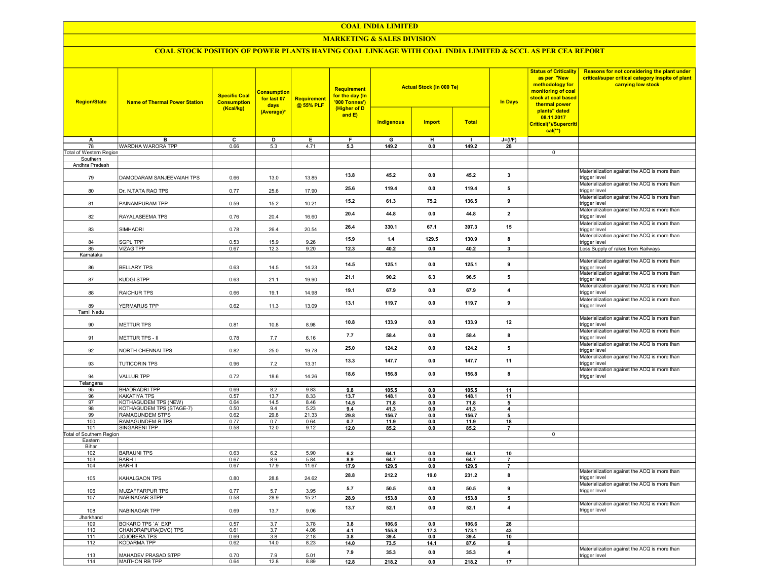#### COAL INDIA LIMITED

## MARKETING & SALES DIVISION

# COAL STOCK POSITION OF POWER PLANTS HAVING COAL LINKAGE WITH COAL INDIA LIMITED & SCCL AS PER CEA REPORT

| <b>Region/State</b>      | <b>Name of Thermal Power Station</b>             | <b>Specific Coal</b><br><b>Consumption</b><br>(Kcal/kg) | <b>Consumption</b><br>for last 07<br>days | Requirement<br>@ 55% PLF | <b>Requirement</b><br>for the day (In<br>'000 Tonnes')<br>(Higher of D<br>and $E$ ) |                   | <b>Actual Stock (In 000 Te)</b> |              | <b>In Days</b>           | <b>Status of Criticality</b><br>as per "New<br>methodology for<br>monitoring of coal<br>stock at coal based<br>thermal power<br>plants" dated<br>08.11.2017<br>Critical(*)/Supercriti<br>$cal(**)$ | Reasons for not considering the plant under<br>critical/super critical category inspite of plant<br>carrying low stock |
|--------------------------|--------------------------------------------------|---------------------------------------------------------|-------------------------------------------|--------------------------|-------------------------------------------------------------------------------------|-------------------|---------------------------------|--------------|--------------------------|----------------------------------------------------------------------------------------------------------------------------------------------------------------------------------------------------|------------------------------------------------------------------------------------------------------------------------|
|                          |                                                  |                                                         | (Average)*                                |                          |                                                                                     | <b>Indigenous</b> | <b>Import</b>                   | <b>Total</b> |                          |                                                                                                                                                                                                    |                                                                                                                        |
| A                        | B                                                | $\overline{c}$                                          | $\overline{\mathsf{D}}$                   | Ε                        | F                                                                                   | G                 | н                               | $\mathbf{I}$ | $J=(I/F)$                |                                                                                                                                                                                                    |                                                                                                                        |
| 78                       | WARDHA WARORA TPP                                | 0.66                                                    | 5.3                                       | 4.71                     | 5.3                                                                                 | 149.2             | 0.0                             | 149.2        | 28                       |                                                                                                                                                                                                    |                                                                                                                        |
| Total of Western Region  |                                                  |                                                         |                                           |                          |                                                                                     |                   |                                 |              |                          | $\mathbf 0$                                                                                                                                                                                        |                                                                                                                        |
| Southern                 |                                                  |                                                         |                                           |                          |                                                                                     |                   |                                 |              |                          |                                                                                                                                                                                                    |                                                                                                                        |
| Andhra Pradesh           |                                                  |                                                         |                                           |                          |                                                                                     |                   |                                 |              |                          |                                                                                                                                                                                                    |                                                                                                                        |
| 79                       | DAMODARAM SANJEEVAIAH TPS                        | 0.66                                                    | 13.0                                      | 13.85                    | 13.8                                                                                | 45.2              | 0.0                             | 45.2         | 3                        |                                                                                                                                                                                                    | Materialization against the ACQ is more than<br>trigger level                                                          |
| 80                       | Dr. N.TATA RAO TPS                               | 0.77                                                    | 25.6                                      | 17.90                    | 25.6                                                                                | 119.4             | 0.0                             | 119.4        | 5                        |                                                                                                                                                                                                    | Materialization against the ACQ is more than<br>trigger level<br>Materialization against the ACQ is more than          |
| 81                       | PAINAMPURAM TPP                                  | 0.59                                                    | 15.2                                      | 10.21                    | 15.2                                                                                | 61.3              | 75.2                            | 136.5        | 9                        |                                                                                                                                                                                                    | trigger level<br>Materialization against the ACQ is more than                                                          |
| 82                       | RAYALASEEMA TPS                                  | 0.76                                                    | 20.4                                      | 16.60                    | 20.4                                                                                | 44.8              | 0.0                             | 44.8         | $\mathbf{2}$             |                                                                                                                                                                                                    | trigger level<br>Materialization against the ACQ is more than                                                          |
| 83                       | SIMHADRI                                         | 0.78                                                    | 26.4                                      | 20.54                    | 26.4                                                                                | 330.1             | 67.1                            | 397.3        | 15                       |                                                                                                                                                                                                    | trigger level<br>Materialization against the ACQ is more than                                                          |
| 84                       | SGPL TPP                                         | 0.53                                                    | 15.9                                      | 9.26                     | 15.9                                                                                | $1.4$             | 129.5                           | 130.9        | 8                        |                                                                                                                                                                                                    | trigger level                                                                                                          |
| 85                       | <b>VIZAG TPP</b>                                 | 0.67                                                    | 12.3                                      | 9.20                     | 12.3                                                                                | 40.2              | 0.0                             | 40.2         | $\overline{\mathbf{3}}$  |                                                                                                                                                                                                    | Less Supply of rakes from Railways                                                                                     |
| Karnataka                |                                                  |                                                         |                                           |                          |                                                                                     |                   |                                 |              |                          |                                                                                                                                                                                                    |                                                                                                                        |
| 86                       | <b>BELLARY TPS</b>                               | 0.63                                                    | 14.5                                      | 14.23                    | 14.5                                                                                | 125.1             | 0.0                             | 125.1        | 9                        |                                                                                                                                                                                                    | Materialization against the ACQ is more than<br>trigger level                                                          |
| 87                       | KUDGI STPP                                       | 0.63                                                    | 21.1                                      | 19.90                    | 21.1                                                                                | 90.2              | 6.3                             | 96.5         | 5                        |                                                                                                                                                                                                    | Materialization against the ACQ is more than<br>trigger level                                                          |
| 88                       | RAICHUR TPS                                      | 0.66                                                    | 19.1                                      | 14.98                    | 19.1                                                                                | 67.9              | 0.0                             | 67.9         | $\overline{4}$           |                                                                                                                                                                                                    | Materialization against the ACQ is more than<br>trigger level                                                          |
| 89                       | YERMARUS TPP                                     | 0.62                                                    | 11.3                                      | 13.09                    | 13.1                                                                                | 119.7             | 0.0                             | 119.7        | 9                        |                                                                                                                                                                                                    | Materialization against the ACQ is more than<br>trigger level                                                          |
| <b>Tamil Nadu</b>        |                                                  |                                                         |                                           |                          |                                                                                     |                   |                                 |              |                          |                                                                                                                                                                                                    |                                                                                                                        |
| 90                       | METTUR TPS                                       | 0.81                                                    | 10.8                                      | 8.98                     | 10.8                                                                                | 133.9             | 0.0                             | 133.9        | 12                       |                                                                                                                                                                                                    | Materialization against the ACQ is more than<br>trigger level                                                          |
| 91                       | METTUR TPS - II                                  | 0.78                                                    | 7.7                                       | 6.16                     | 7.7                                                                                 | 58.4              | 0.0                             | 58.4         | 8                        |                                                                                                                                                                                                    | Materialization against the ACQ is more than<br>trigger level                                                          |
| 92                       | NORTH CHENNAI TPS                                | 0.82                                                    | 25.0                                      | 19.78                    | 25.0                                                                                | 124.2             | 0.0                             | 124.2        | 5                        |                                                                                                                                                                                                    | Materialization against the ACQ is more than<br>trigger level                                                          |
| 93                       | <b>TUTICORIN TPS</b>                             | 0.96                                                    | 7.2                                       | 13.31                    | 13.3                                                                                | 147.7             | 0.0                             | 147.7        | 11                       |                                                                                                                                                                                                    | Materialization against the ACQ is more than<br>trigger level                                                          |
| 94                       | <b>VALLUR TPP</b>                                | 0.72                                                    | 18.6                                      | 14.26                    | 18.6                                                                                | 156.8             | 0.0                             | 156.8        | 8                        |                                                                                                                                                                                                    | Materialization against the ACQ is more than<br>trigger level                                                          |
| Telangana                |                                                  |                                                         |                                           |                          |                                                                                     |                   |                                 |              |                          |                                                                                                                                                                                                    |                                                                                                                        |
| 95                       | <b>BHADRADRI TPP</b>                             | 0.69                                                    | 8.2                                       | 9.83                     | 9.8                                                                                 | 105.5             | 0.0                             | 105.5        | 11                       |                                                                                                                                                                                                    |                                                                                                                        |
| 96<br>97                 | KAKATIYA TPS                                     | 0.57                                                    | 13.7                                      | 8.33                     | 13.7                                                                                | 148.1             | 0.0                             | 148.1        | 11                       |                                                                                                                                                                                                    |                                                                                                                        |
| 98                       | KOTHAGUDEM TPS (NEW)<br>KOTHAGUDEM TPS (STAGE-7) | 0.64<br>0.50                                            | 14.5<br>9.4                               | 8.46<br>5.23             | 14.5                                                                                | 71.8<br>41.3      | 0.0<br>0.0                      | 71.8<br>41.3 | $5\overline{)}$          |                                                                                                                                                                                                    |                                                                                                                        |
| 99                       | RAMAGUNDEM STPS                                  | 0.62                                                    | 29.8                                      | 21.33                    | 9.4<br>29.8                                                                         | 156.7             | 0.0                             | 156.7        | 4<br>5                   |                                                                                                                                                                                                    |                                                                                                                        |
| 100                      | RAMAGUNDEM-B TPS                                 | 0.77                                                    | 0.7                                       | 0.64                     | 0.7                                                                                 | 11.9              | 0.0                             | 11.9         | 18                       |                                                                                                                                                                                                    |                                                                                                                        |
| 101                      | <b>SINGARENI TPP</b>                             | 0.58                                                    | 12.0                                      | 9.12                     | 12.0                                                                                | 85.2              | 0.0                             | 85.2         | $\overline{7}$           |                                                                                                                                                                                                    |                                                                                                                        |
| Total of Southern Region |                                                  |                                                         |                                           |                          |                                                                                     |                   |                                 |              |                          | $\mathbf 0$                                                                                                                                                                                        |                                                                                                                        |
| Eastern                  |                                                  |                                                         |                                           |                          |                                                                                     |                   |                                 |              |                          |                                                                                                                                                                                                    |                                                                                                                        |
| Bihar                    |                                                  |                                                         |                                           |                          |                                                                                     |                   |                                 |              |                          |                                                                                                                                                                                                    |                                                                                                                        |
| 102                      | <b>BARAUNI TPS</b>                               | 0.63                                                    | 6.2                                       | 5.90                     | 6.2                                                                                 | 64.1              | 0.0                             | 64.1         | 10                       |                                                                                                                                                                                                    |                                                                                                                        |
| 103                      | <b>BARH I</b>                                    | 0.67                                                    | 8.9                                       | 5.84                     | 8.9                                                                                 | 64.7              | 0.0                             | 64.7         | $\overline{\phantom{a}}$ |                                                                                                                                                                                                    |                                                                                                                        |
| 104                      | <b>BARH II</b>                                   | 0.67                                                    | 17.9                                      | 11.67                    | 17.9                                                                                | 129.5             | 0.0                             | 129.5        | $\overline{\phantom{a}}$ |                                                                                                                                                                                                    |                                                                                                                        |
| 105                      | KAHALGAON TPS                                    | 0.80                                                    | 28.8                                      | 24.62                    | 28.8                                                                                | 212.2             | 19.0                            | 231.2        | 8                        |                                                                                                                                                                                                    | Materialization against the ACQ is more than<br>trigger level                                                          |
| 106                      | MUZAFFARPUR TPS                                  | 0.77                                                    | 5.7                                       | 3.95                     | 5.7                                                                                 | 50.5              | 0.0                             | 50.5         | 9                        |                                                                                                                                                                                                    | Materialization against the ACQ is more than<br>trigger level                                                          |
| 107                      | <b>NABINAGAR STPP</b>                            | 0.58                                                    | 28.9                                      | 15.21                    | 28.9                                                                                | 153.8             | 0.0                             | 153.8        | 5                        |                                                                                                                                                                                                    |                                                                                                                        |
| 108                      | NABINAGAR TPP                                    | 0.69                                                    | 13.7                                      | 9.06                     | 13.7                                                                                | 52.1              | 0.0                             | 52.1         | 4                        |                                                                                                                                                                                                    | Materialization against the ACQ is more than<br>trigger level                                                          |
| Jharkhand                |                                                  |                                                         |                                           |                          |                                                                                     |                   |                                 |              |                          |                                                                                                                                                                                                    |                                                                                                                        |
| 109                      | <b>BOKARO TPS 'A' EXP</b>                        | 0.57                                                    | 3.7                                       | 3.78                     | 3.8                                                                                 | 106.6             | 0 <sub>0</sub>                  | 106.6        | 28                       |                                                                                                                                                                                                    |                                                                                                                        |
| 110                      | CHANDRAPURA(DVC) TPS                             | 0.61                                                    | 3.7                                       | 4.06                     | 4.1                                                                                 | 155.8             | 17.3                            | 173.1        | 43                       |                                                                                                                                                                                                    |                                                                                                                        |
| 111                      | <b>JOJOBERA TPS</b>                              | 0.69                                                    | 3.8                                       | 2.18                     | 3.8                                                                                 | 39.4              | 0.0                             | 39.4         | 10                       |                                                                                                                                                                                                    |                                                                                                                        |
| 112                      | <b>KODARMA TPP</b>                               | 0.62                                                    | 14.0                                      | 8.23                     | 14.0                                                                                | 73.5              | 14.1                            | 87.6         | 6                        |                                                                                                                                                                                                    | Materialization against the ACQ is more than                                                                           |
| 113<br>114               | MAHADEV PRASAD STPP                              | 0.70<br>0.64                                            | 7.9<br>12.8                               | 5.01                     | 7.9                                                                                 | 35.3              | 0.0                             | 35.3         | 4                        |                                                                                                                                                                                                    | trigger level                                                                                                          |
|                          | MAITHON RB TPP                                   |                                                         |                                           | 8.89                     | 12.8                                                                                | 218.2             | 0.0                             | 218.2        | 17                       |                                                                                                                                                                                                    |                                                                                                                        |